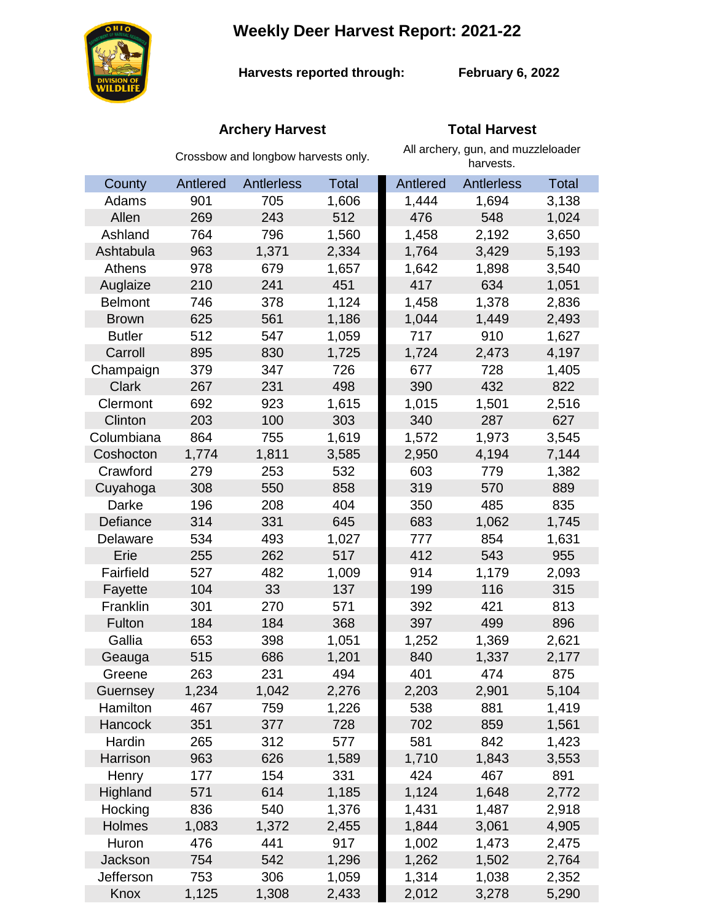# **Weekly Deer Harvest Report: 2021-22**



**Harvests reported through:** 

**February 6, 2022**

## **Archery Harvest Total Harvest**

|                | Crossbow and longbow harvests only. |            |              | All archery, gun, and muzzleloader<br>harvests. |            |       |
|----------------|-------------------------------------|------------|--------------|-------------------------------------------------|------------|-------|
| County         | Antlered                            | Antlerless | <b>Total</b> | Antlered                                        | Antlerless | Total |
| Adams          | 901                                 | 705        | 1,606        | 1,444                                           | 1,694      | 3,138 |
| Allen          | 269                                 | 243        | 512          | 476                                             | 548        | 1,024 |
| Ashland        | 764                                 | 796        | 1,560        | 1,458                                           | 2,192      | 3,650 |
| Ashtabula      | 963                                 | 1,371      | 2,334        | 1,764                                           | 3,429      | 5,193 |
| Athens         | 978                                 | 679        | 1,657        | 1,642                                           | 1,898      | 3,540 |
| Auglaize       | 210                                 | 241        | 451          | 417                                             | 634        | 1,051 |
| <b>Belmont</b> | 746                                 | 378        | 1,124        | 1,458                                           | 1,378      | 2,836 |
| <b>Brown</b>   | 625                                 | 561        | 1,186        | 1,044                                           | 1,449      | 2,493 |
| <b>Butler</b>  | 512                                 | 547        | 1,059        | 717                                             | 910        | 1,627 |
| Carroll        | 895                                 | 830        | 1,725        | 1,724                                           | 2,473      | 4,197 |
| Champaign      | 379                                 | 347        | 726          | 677                                             | 728        | 1,405 |
| <b>Clark</b>   | 267                                 | 231        | 498          | 390                                             | 432        | 822   |
| Clermont       | 692                                 | 923        | 1,615        | 1,015                                           | 1,501      | 2,516 |
| Clinton        | 203                                 | 100        | 303          | 340                                             | 287        | 627   |
| Columbiana     | 864                                 | 755        | 1,619        | 1,572                                           | 1,973      | 3,545 |
| Coshocton      | 1,774                               | 1,811      | 3,585        | 2,950                                           | 4,194      | 7,144 |
| Crawford       | 279                                 | 253        | 532          | 603                                             | 779        | 1,382 |
| Cuyahoga       | 308                                 | 550        | 858          | 319                                             | 570        | 889   |
| Darke          | 196                                 | 208        | 404          | 350                                             | 485        | 835   |
| Defiance       | 314                                 | 331        | 645          | 683                                             | 1,062      | 1,745 |
| Delaware       | 534                                 | 493        | 1,027        | 777                                             | 854        | 1,631 |
| Erie           | 255                                 | 262        | 517          | 412                                             | 543        | 955   |
| Fairfield      | 527                                 | 482        | 1,009        | 914                                             | 1,179      | 2,093 |
| Fayette        | 104                                 | 33         | 137          | 199                                             | 116        | 315   |
| Franklin       | 301                                 | 270        | 571          | 392                                             | 421        | 813   |
| Fulton         | 184                                 | 184        | 368          | 397                                             | 499        | 896   |
| Gallia         | 653                                 | 398        | 1,051        | 1,252                                           | 1,369      | 2,621 |
| Geauga         | 515                                 | 686        | 1,201        | 840                                             | 1,337      | 2,177 |
| Greene         | 263                                 | 231        | 494          | 401                                             | 474        | 875   |
| Guernsey       | 1,234                               | 1,042      | 2,276        | 2,203                                           | 2,901      | 5,104 |
| Hamilton       | 467                                 | 759        | 1,226        | 538                                             | 881        | 1,419 |
| <b>Hancock</b> | 351                                 | 377        | 728          | 702                                             | 859        | 1,561 |
| Hardin         | 265                                 | 312        | 577          | 581                                             | 842        | 1,423 |
| Harrison       | 963                                 | 626        | 1,589        | 1,710                                           | 1,843      | 3,553 |
| Henry          | 177                                 | 154        | 331          | 424                                             | 467        | 891   |
| Highland       | 571                                 | 614        | 1,185        | 1,124                                           | 1,648      | 2,772 |
| Hocking        | 836                                 | 540        | 1,376        | 1,431                                           | 1,487      | 2,918 |
| Holmes         | 1,083                               | 1,372      | 2,455        | 1,844                                           | 3,061      | 4,905 |
| Huron          | 476                                 | 441        | 917          | 1,002                                           | 1,473      | 2,475 |
| Jackson        | 754                                 | 542        | 1,296        | 1,262                                           | 1,502      | 2,764 |
| Jefferson      | 753                                 | 306        | 1,059        | 1,314                                           | 1,038      | 2,352 |
| Knox           | 1,125                               | 1,308      | 2,433        | 2,012                                           | 3,278      | 5,290 |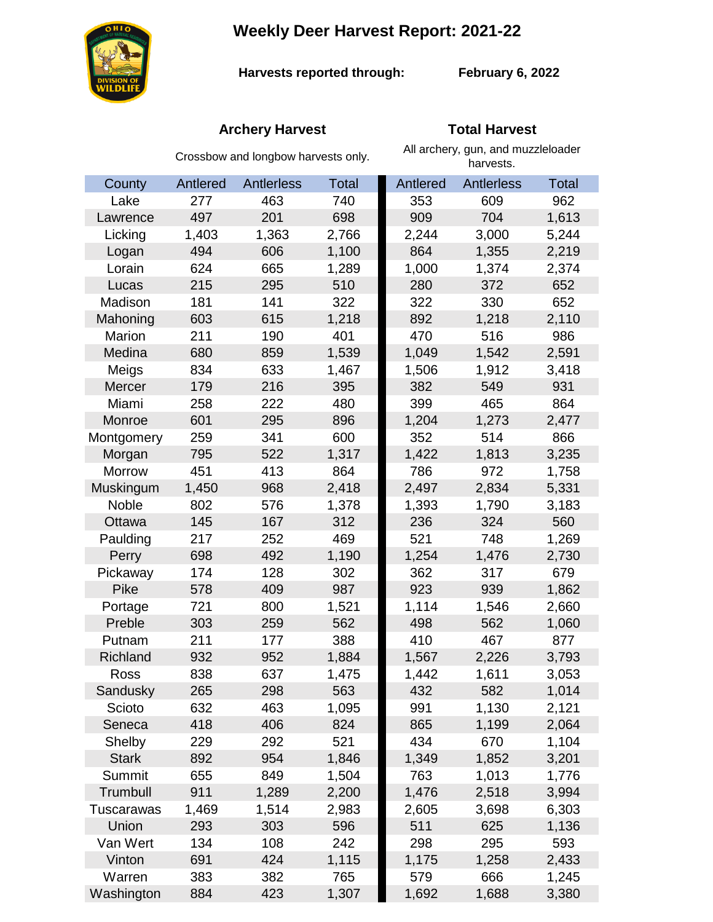# **Weekly Deer Harvest Report: 2021-22**



**Harvests reported through:** 

**February 6, 2022**

## **Archery Harvest Total Harvest**

|               | Crossbow and longbow harvests only. |                   |              | All archery, gun, and muzzleloader<br>harvests. |            |              |  |
|---------------|-------------------------------------|-------------------|--------------|-------------------------------------------------|------------|--------------|--|
| County        | Antlered                            | <b>Antlerless</b> | <b>Total</b> | Antlered                                        | Antlerless | <b>Total</b> |  |
| Lake          | 277                                 | 463               | 740          | 353                                             | 609        | 962          |  |
| Lawrence      | 497                                 | 201               | 698          | 909                                             | 704        | 1,613        |  |
| Licking       | 1,403                               | 1,363             | 2,766        | 2,244                                           | 3,000      | 5,244        |  |
| Logan         | 494                                 | 606               | 1,100        | 864                                             | 1,355      | 2,219        |  |
| Lorain        | 624                                 | 665               | 1,289        | 1,000                                           | 1,374      | 2,374        |  |
| Lucas         | 215                                 | 295               | 510          | 280                                             | 372        | 652          |  |
| Madison       | 181                                 | 141               | 322          | 322                                             | 330        | 652          |  |
| Mahoning      | 603                                 | 615               | 1,218        | 892                                             | 1,218      | 2,110        |  |
| Marion        | 211                                 | 190               | 401          | 470                                             | 516        | 986          |  |
| Medina        | 680                                 | 859               | 1,539        | 1,049                                           | 1,542      | 2,591        |  |
| Meigs         | 834                                 | 633               | 1,467        | 1,506                                           | 1,912      | 3,418        |  |
| Mercer        | 179                                 | 216               | 395          | 382                                             | 549        | 931          |  |
| Miami         | 258                                 | 222               | 480          | 399                                             | 465        | 864          |  |
| Monroe        | 601                                 | 295               | 896          | 1,204                                           | 1,273      | 2,477        |  |
| Montgomery    | 259                                 | 341               | 600          | 352                                             | 514        | 866          |  |
| Morgan        | 795                                 | 522               | 1,317        | 1,422                                           | 1,813      | 3,235        |  |
| <b>Morrow</b> | 451                                 | 413               | 864          | 786                                             | 972        | 1,758        |  |
| Muskingum     | 1,450                               | 968               | 2,418        | 2,497                                           | 2,834      | 5,331        |  |
| Noble         | 802                                 | 576               | 1,378        | 1,393                                           | 1,790      | 3,183        |  |
| Ottawa        | 145                                 | 167               | 312          | 236                                             | 324        | 560          |  |
| Paulding      | 217                                 | 252               | 469          | 521                                             | 748        | 1,269        |  |
| Perry         | 698                                 | 492               | 1,190        | 1,254                                           | 1,476      | 2,730        |  |
| Pickaway      | 174                                 | 128               | 302          | 362                                             | 317        | 679          |  |
| Pike          | 578                                 | 409               | 987          | 923                                             | 939        | 1,862        |  |
| Portage       | 721                                 | 800               | 1,521        | 1,114                                           | 1,546      | 2,660        |  |
| Preble        | 303                                 | 259               | 562          | 498                                             | 562        | 1,060        |  |
| Putnam        | 211                                 | 177               | 388          | 410                                             | 467        | 877          |  |
| Richland      | 932                                 | 952               | 1,884        | 1,567                                           | 2,226      | 3,793        |  |
| Ross          | 838                                 | 637               | 1,475        | 1,442                                           | 1,611      | 3,053        |  |
| Sandusky      | 265                                 | 298               | 563          | 432                                             | 582        | 1,014        |  |
| Scioto        | 632                                 | 463               | 1,095        | 991                                             | 1,130      | 2,121        |  |
| Seneca        | 418                                 | 406               | 824          | 865                                             | 1,199      | 2,064        |  |
| Shelby        | 229                                 | 292               | 521          | 434                                             | 670        | 1,104        |  |
| <b>Stark</b>  | 892                                 | 954               | 1,846        | 1,349                                           | 1,852      | 3,201        |  |
| Summit        | 655                                 | 849               | 1,504        | 763                                             | 1,013      | 1,776        |  |
| Trumbull      | 911                                 | 1,289             | 2,200        | 1,476                                           | 2,518      | 3,994        |  |
| Tuscarawas    | 1,469                               | 1,514             | 2,983        | 2,605                                           | 3,698      | 6,303        |  |
| Union         | 293                                 | 303               | 596          | 511                                             | 625        | 1,136        |  |
| Van Wert      | 134                                 | 108               | 242          | 298                                             | 295        | 593          |  |
| Vinton        | 691                                 | 424               | 1,115        | 1,175                                           | 1,258      | 2,433        |  |
| Warren        | 383                                 | 382               | 765          | 579                                             | 666        | 1,245        |  |
| Washington    | 884                                 | 423               | 1,307        | 1,692                                           | 1,688      | 3,380        |  |